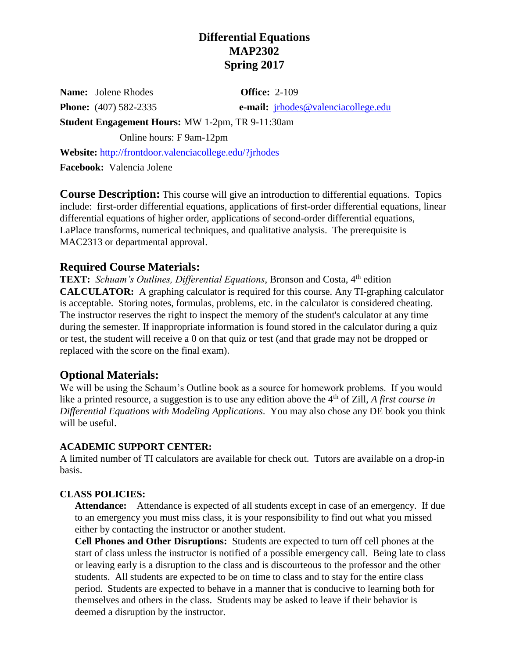# **Differential Equations MAP2302 Spring 2017**

**Name:** Jolene Rhodes **Office:** 2-109

**Phone:** (407) 582-2335 **e-mail:** [jrhodes@valenciacollege.edu](mailto:jrhodes@valenciacollege.edu)

**Student Engagement Hours:** MW 1-2pm, TR 9-11:30am

Online hours: F 9am-12pm

**Website:** <http://frontdoor.valenciacollege.edu/?jrhodes>

**Facebook:** Valencia Jolene

**Course Description:** This course will give an introduction to differential equations. Topics include: first-order differential equations, applications of first-order differential equations, linear differential equations of higher order, applications of second-order differential equations, LaPlace transforms, numerical techniques, and qualitative analysis. The prerequisite is MAC2313 or departmental approval.

## **Required Course Materials:**

**TEXT:** Schuam's Outlines, Differential Equations, Bronson and Costa, 4<sup>th</sup> edition **CALCULATOR:** A graphing calculator is required for this course. Any TI-graphing calculator is acceptable. Storing notes, formulas, problems, etc. in the calculator is considered cheating. The instructor reserves the right to inspect the memory of the student's calculator at any time during the semester. If inappropriate information is found stored in the calculator during a quiz or test, the student will receive a 0 on that quiz or test (and that grade may not be dropped or replaced with the score on the final exam).

# **Optional Materials:**

We will be using the Schaum's Outline book as a source for homework problems. If you would like a printed resource, a suggestion is to use any edition above the 4<sup>th</sup> of Zill, *A first course in Differential Equations with Modeling Applications*. You may also chose any DE book you think will be useful.

## **ACADEMIC SUPPORT CENTER:**

A limited number of TI calculators are available for check out. Tutors are available on a drop-in basis.

## **CLASS POLICIES:**

**Attendance:** Attendance is expected of all students except in case of an emergency. If due to an emergency you must miss class, it is your responsibility to find out what you missed either by contacting the instructor or another student.

**Cell Phones and Other Disruptions:** Students are expected to turn off cell phones at the start of class unless the instructor is notified of a possible emergency call. Being late to class or leaving early is a disruption to the class and is discourteous to the professor and the other students. All students are expected to be on time to class and to stay for the entire class period. Students are expected to behave in a manner that is conducive to learning both for themselves and others in the class. Students may be asked to leave if their behavior is deemed a disruption by the instructor.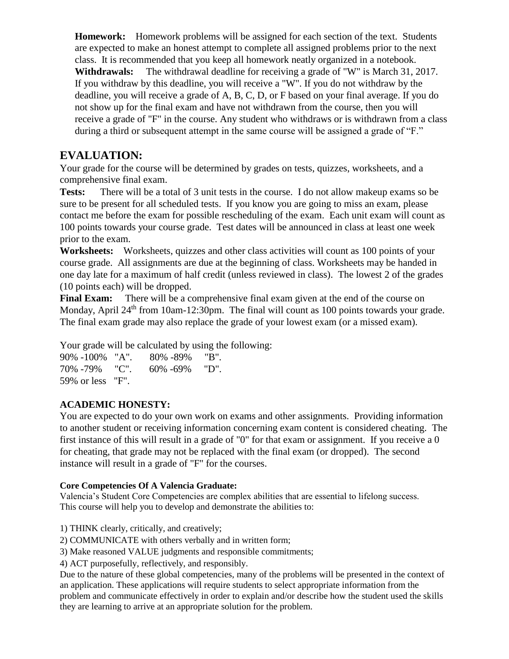**Homework:** Homework problems will be assigned for each section of the text. Students are expected to make an honest attempt to complete all assigned problems prior to the next class. It is recommended that you keep all homework neatly organized in a notebook. **Withdrawals:** The withdrawal deadline for receiving a grade of "W" is March 31, 2017. If you withdraw by this deadline, you will receive a "W". If you do not withdraw by the deadline, you will receive a grade of A, B, C, D, or F based on your final average. If you do not show up for the final exam and have not withdrawn from the course, then you will receive a grade of "F" in the course. Any student who withdraws or is withdrawn from a class during a third or subsequent attempt in the same course will be assigned a grade of "F."

## **EVALUATION:**

Your grade for the course will be determined by grades on tests, quizzes, worksheets, and a comprehensive final exam.

**Tests:** There will be a total of 3 unit tests in the course. I do not allow makeup exams so be sure to be present for all scheduled tests. If you know you are going to miss an exam, please contact me before the exam for possible rescheduling of the exam. Each unit exam will count as 100 points towards your course grade. Test dates will be announced in class at least one week prior to the exam.

**Worksheets:** Worksheets, quizzes and other class activities will count as 100 points of your course grade. All assignments are due at the beginning of class. Worksheets may be handed in one day late for a maximum of half credit (unless reviewed in class). The lowest 2 of the grades (10 points each) will be dropped.

**Final Exam:** There will be a comprehensive final exam given at the end of the course on Monday, April 24<sup>th</sup> from 10am-12:30pm. The final will count as 100 points towards your grade. The final exam grade may also replace the grade of your lowest exam (or a missed exam).

Your grade will be calculated by using the following:

| 90% -100% "A".   | 80% -89%           | "B". |
|------------------|--------------------|------|
| 70\% -79\% "C".  | $60\% - 69\%$ "D". |      |
| 59% or less "F". |                    |      |

## **ACADEMIC HONESTY:**

You are expected to do your own work on exams and other assignments. Providing information to another student or receiving information concerning exam content is considered cheating. The first instance of this will result in a grade of "0" for that exam or assignment. If you receive a 0 for cheating, that grade may not be replaced with the final exam (or dropped). The second instance will result in a grade of "F" for the courses.

### **Core Competencies Of A Valencia Graduate:**

Valencia's Student Core Competencies are complex abilities that are essential to lifelong success. This course will help you to develop and demonstrate the abilities to:

- 1) THINK clearly, critically, and creatively;
- 2) COMMUNICATE with others verbally and in written form;

3) Make reasoned VALUE judgments and responsible commitments;

4) ACT purposefully, reflectively, and responsibly.

Due to the nature of these global competencies, many of the problems will be presented in the context of an application. These applications will require students to select appropriate information from the problem and communicate effectively in order to explain and/or describe how the student used the skills they are learning to arrive at an appropriate solution for the problem.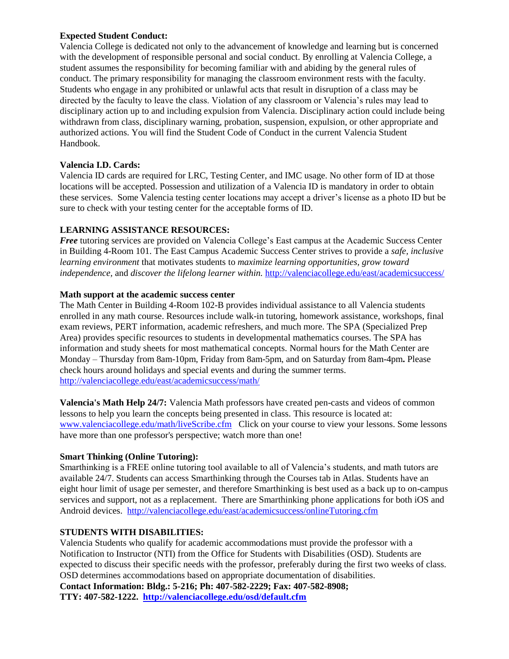#### **Expected Student Conduct:**

Valencia College is dedicated not only to the advancement of knowledge and learning but is concerned with the development of responsible personal and social conduct. By enrolling at Valencia College, a student assumes the responsibility for becoming familiar with and abiding by the general rules of conduct. The primary responsibility for managing the classroom environment rests with the faculty. Students who engage in any prohibited or unlawful acts that result in disruption of a class may be directed by the faculty to leave the class. Violation of any classroom or Valencia's rules may lead to disciplinary action up to and including expulsion from Valencia. Disciplinary action could include being withdrawn from class, disciplinary warning, probation, suspension, expulsion, or other appropriate and authorized actions. You will find the Student Code of Conduct in the current Valencia Student Handbook.

#### **Valencia I.D. Cards:**

Valencia ID cards are required for LRC, Testing Center, and IMC usage. No other form of ID at those locations will be accepted. Possession and utilization of a Valencia ID is mandatory in order to obtain these services. Some Valencia testing center locations may accept a driver's license as a photo ID but be sure to check with your testing center for the acceptable forms of ID.

#### **LEARNING ASSISTANCE RESOURCES:**

*Free* tutoring services are provided on Valencia College's East campus at the Academic Success Center in Building 4-Room 101. The East Campus Academic Success Center strives to provide a *safe, inclusive learning environment* that motivates students to *maximize learning opportunities, grow toward independence,* and *discover the lifelong learner within.* <http://valenciacollege.edu/east/academicsuccess/>

#### **Math support at the academic success center**

The Math Center in Building 4-Room 102-B provides individual assistance to all Valencia students enrolled in any math course. Resources include walk-in tutoring, homework assistance, workshops, final exam reviews, PERT information, academic refreshers, and much more. The SPA (Specialized Prep Area) provides specific resources to students in developmental mathematics courses. The SPA has information and study sheets for most mathematical concepts. Normal hours for the Math Center are Monday – Thursday from 8am-10pm, Friday from 8am-5pm, and on Saturday from 8am-4pm**.** Please check hours around holidays and special events and during the summer terms. <http://valenciacollege.edu/east/academicsuccess/math/>

**Valencia's Math Help 24/7:** Valencia Math professors have created pen-casts and videos of common lessons to help you learn the concepts being presented in class. This resource is located at: [www.valenciacollege.edu/math/liveScribe.cfm](http://www.valenciacollege.edu/math/liveScribe.cfm) Click on your course to view your lessons. Some lessons have more than one professor's perspective; watch more than one!

#### **Smart Thinking (Online Tutoring):**

Smarthinking is a FREE online tutoring tool available to all of Valencia's students, and math tutors are available 24/7. Students can access Smarthinking through the Courses tab in Atlas. Students have an eight hour limit of usage per semester, and therefore Smarthinking is best used as a back up to on-campus services and support, not as a replacement. There are Smarthinking phone applications for both iOS and Android devices. <http://valenciacollege.edu/east/academicsuccess/onlineTutoring.cfm>

#### **STUDENTS WITH DISABILITIES:**

Valencia Students who qualify for academic accommodations must provide the professor with a Notification to Instructor (NTI) from the Office for Students with Disabilities (OSD). Students are expected to discuss their specific needs with the professor, preferably during the first two weeks of class. OSD determines accommodations based on appropriate documentation of disabilities. **Contact Information: Bldg.: 5-216; Ph: 407-582-2229; Fax: 407-582-8908; TTY: 407-582-1222. <http://valenciacollege.edu/osd/default.cfm>**